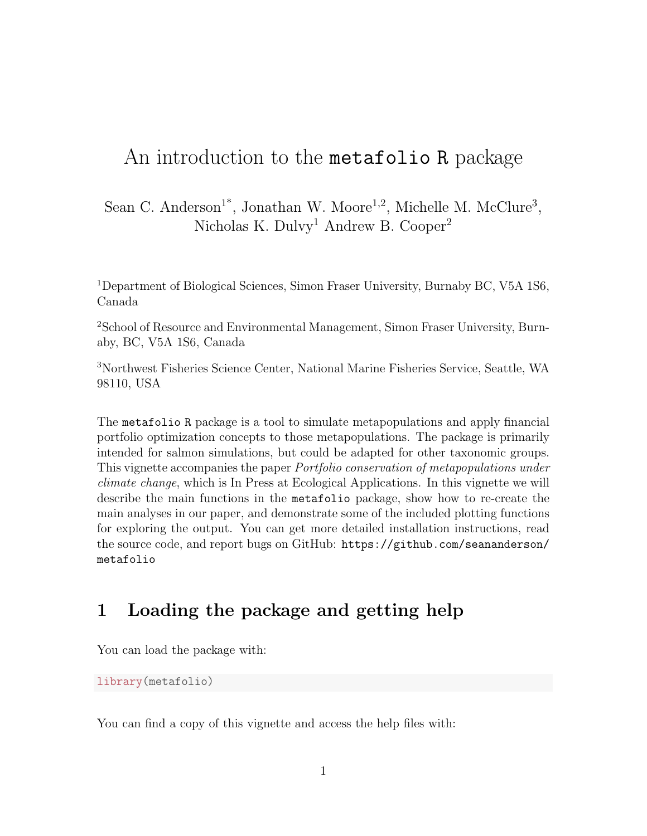# An introduction to the **metafolio R** package

Sean C. Anderson<sup>1\*</sup>, Jonathan W. Moore<sup>1,2</sup>, Michelle M. McClure<sup>3</sup>, Nicholas K. Dulvy<sup>1</sup> Andrew B. Cooper<sup>2</sup>

<sup>1</sup>Department of Biological Sciences, Simon Fraser University, Burnaby BC, V5A 1S6, Canada

<sup>2</sup>School of Resource and Environmental Management, Simon Fraser University, Burnaby, BC, V5A 1S6, Canada

<sup>3</sup>Northwest Fisheries Science Center, National Marine Fisheries Service, Seattle, WA 98110, USA

The metafolio R package is a tool to simulate metapopulations and apply financial portfolio optimization concepts to those metapopulations. The package is primarily intended for salmon simulations, but could be adapted for other taxonomic groups. This vignette accompanies the paper Portfolio conservation of metapopulations under climate change, which is In Press at Ecological Applications. In this vignette we will describe the main functions in the metafolio package, show how to re-create the main analyses in our paper, and demonstrate some of the included plotting functions for exploring the output. You can get more detailed installation instructions, read the source code, and report bugs on GitHub: https://github.com/seananderson/ metafolio

## 1 Loading the package and getting help

You can load the package with:

```
library(metafolio)
```
You can find a copy of this vignette and access the help files with: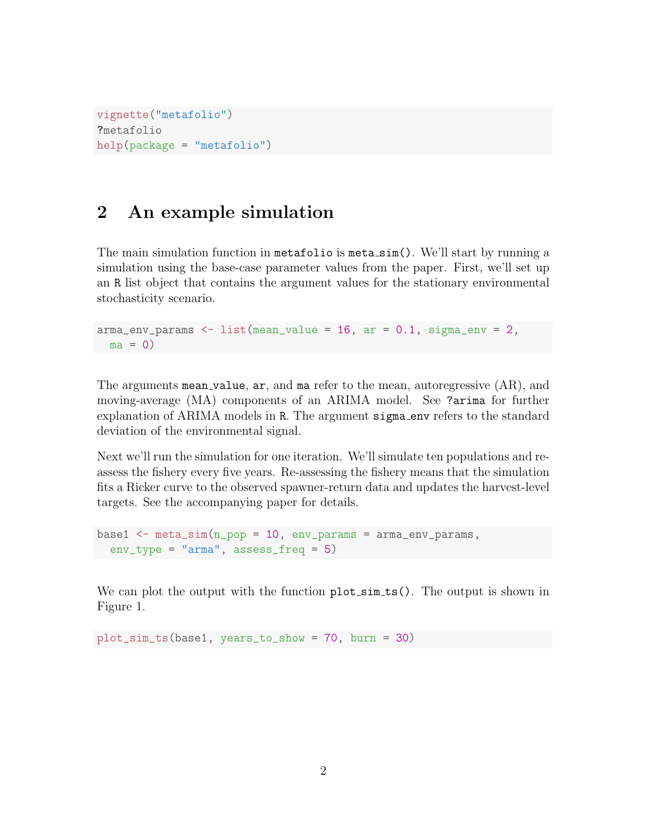```
vignette("metafolio")
?metafolio
help(package = "metafolio")
```
## 2 An example simulation

The main simulation function in metafolio is meta sim(). We'll start by running a simulation using the base-case parameter values from the paper. First, we'll set up an R list object that contains the argument values for the stationary environmental stochasticity scenario.

```
arma_env-params < - list(mean_value = 16, ar = 0.1, sigma_env = 2,ma = 0
```
The arguments mean\_value, ar, and ma refer to the mean, autoregressive (AR), and moving-average (MA) components of an ARIMA model. See ?arima for further explanation of ARIMA models in R. The argument sigma env refers to the standard deviation of the environmental signal.

Next we'll run the simulation for one iteration. We'll simulate ten populations and reassess the fishery every five years. Re-assessing the fishery means that the simulation fits a Ricker curve to the observed spawner-return data and updates the harvest-level targets. See the accompanying paper for details.

```
base1 \le - meta_sim(n\_pop = 10, env\_params = arma\_env\_params,env_type = "arma", assess_freq = 5)
```
We can plot the output with the function plot\_sim\_ts(). The output is shown in Figure 1.

plot\_sim\_ts(base1, years\_to\_show = 70, burn = 30)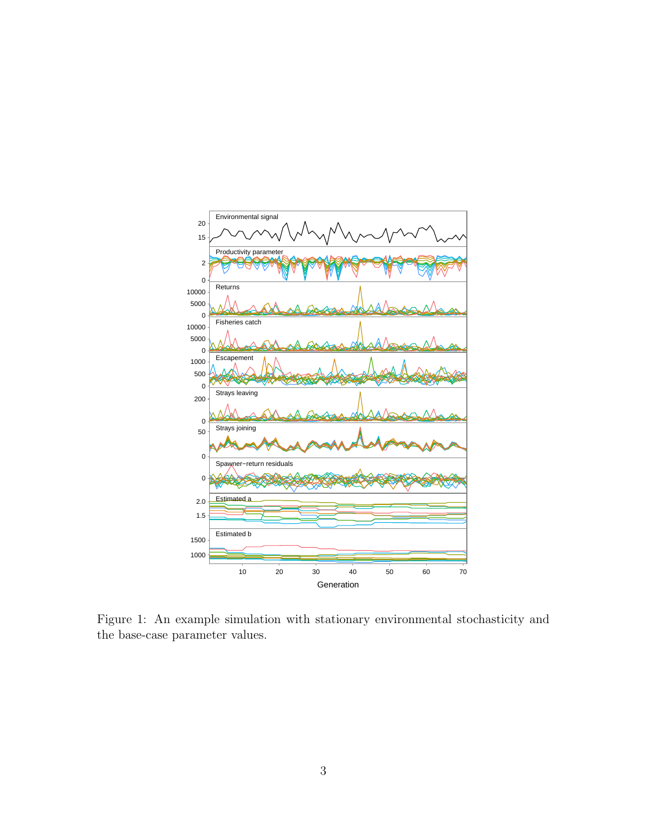

Figure 1: An example simulation with stationary environmental stochasticity and the base-case parameter values.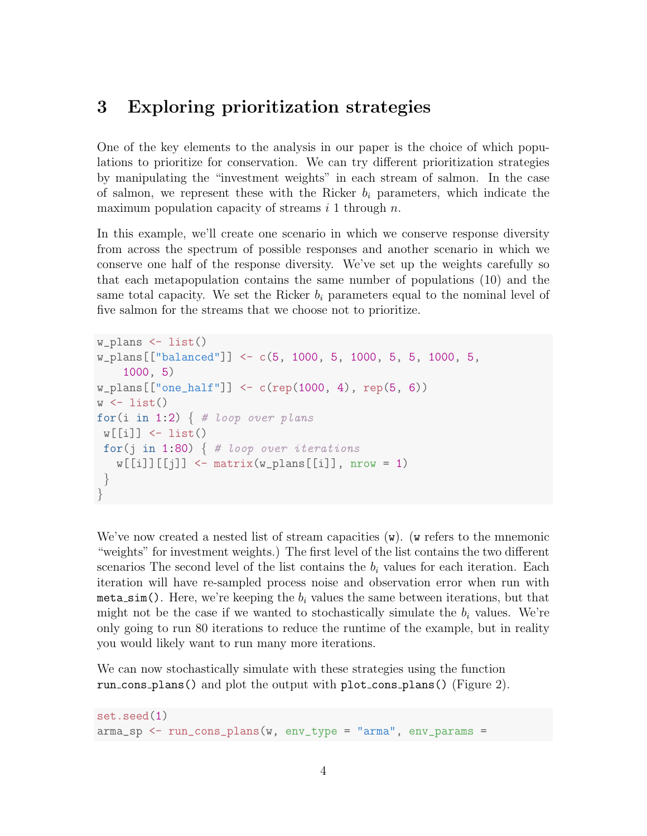#### 3 Exploring prioritization strategies

One of the key elements to the analysis in our paper is the choice of which populations to prioritize for conservation. We can try different prioritization strategies by manipulating the "investment weights" in each stream of salmon. In the case of salmon, we represent these with the Ricker  $b_i$  parameters, which indicate the maximum population capacity of streams  $i$  1 through  $n$ .

In this example, we'll create one scenario in which we conserve response diversity from across the spectrum of possible responses and another scenario in which we conserve one half of the response diversity. We've set up the weights carefully so that each metapopulation contains the same number of populations (10) and the same total capacity. We set the Ricker  $b_i$  parameters equal to the nominal level of five salmon for the streams that we choose not to prioritize.

```
w_plans <- list()
w_plans[["balanced"]] <- c(5, 1000, 5, 1000, 5, 5, 1000, 5,
    1000, 5)
w_plans[["one_half"]] <- c(rep(1000, 4), rep(5, 6))
w \leftarrow list()for(i in 1:2) \{  # loop over plansw[[i]] \leftarrow list()for(j in 1:80) \{  # loop over iterationsw[[i]][[j]] \le - \text{matrix}(w\_plans[[i]], nrow = 1)}
}
```
We've now created a nested list of stream capacities  $(w)$ . (w refers to the mnemonic "weights" for investment weights.) The first level of the list contains the two different scenarios The second level of the list contains the  $b_i$  values for each iteration. Each iteration will have re-sampled process noise and observation error when run with meta\_sim(). Here, we're keeping the  $b_i$  values the same between iterations, but that might not be the case if we wanted to stochastically simulate the  $b_i$  values. We're only going to run 80 iterations to reduce the runtime of the example, but in reality you would likely want to run many more iterations.

We can now stochastically simulate with these strategies using the function run cons plans() and plot the output with plot cons plans() (Figure 2).

```
set.seed(1)
arma_sp < - run_{cons_}plans(w, env_type = "arma", env_params =
```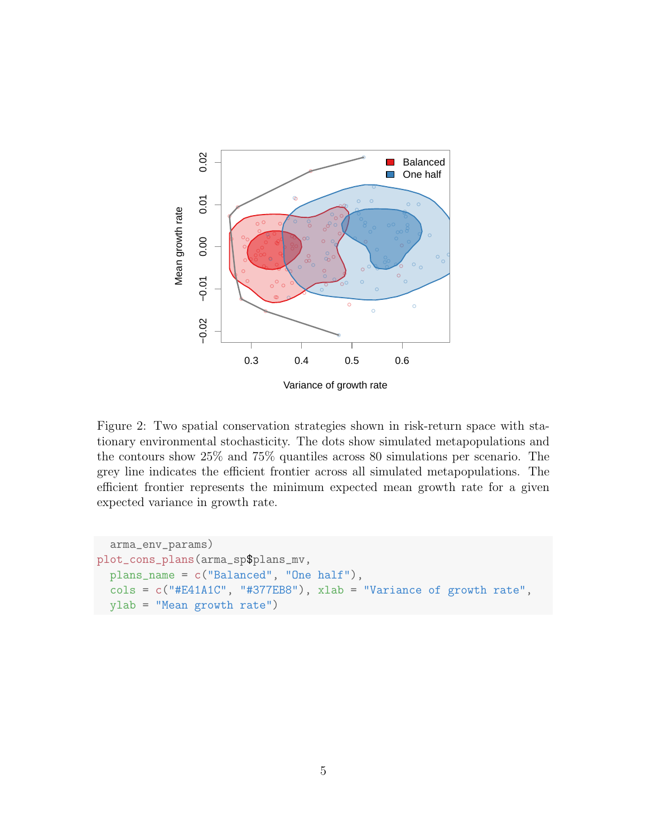

Figure 2: Two spatial conservation strategies shown in risk-return space with stationary environmental stochasticity. The dots show simulated metapopulations and the contours show 25% and 75% quantiles across 80 simulations per scenario. The grey line indicates the efficient frontier across all simulated metapopulations. The efficient frontier represents the minimum expected mean growth rate for a given expected variance in growth rate.

```
arma_env_params)
plot_cons_plans(arma_sp$plans_mv,
 plans_name = c("Balanced", "One half"),
 cols = c("#E41A1C", "#377EB8"), xlab = "Variance of growth rate",
 ylab = "Mean growth rate")
```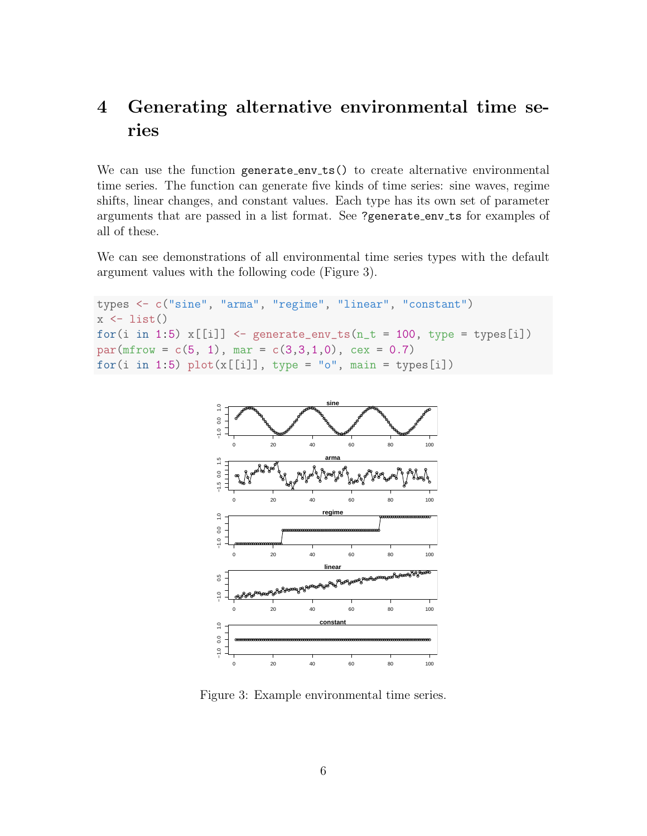# 4 Generating alternative environmental time series

We can use the function generate\_env\_ts() to create alternative environmental time series. The function can generate five kinds of time series: sine waves, regime shifts, linear changes, and constant values. Each type has its own set of parameter arguments that are passed in a list format. See ?generate env ts for examples of all of these.

We can see demonstrations of all environmental time series types with the default argument values with the following code (Figure 3).

```
types <- c("sine", "arma", "regime", "linear", "constant")
x \leftarrow list()
for(i in 1:5) x[[i]] \leftarrow generate_env_ts(n_t = 100, type = types[i])
par(mfrow = c(5, 1), mar = c(3,3,1,0), cex = 0.7)for(i in 1:5) plot(x[[i]], type = "o", main = types[i])
```


Figure 3: Example environmental time series.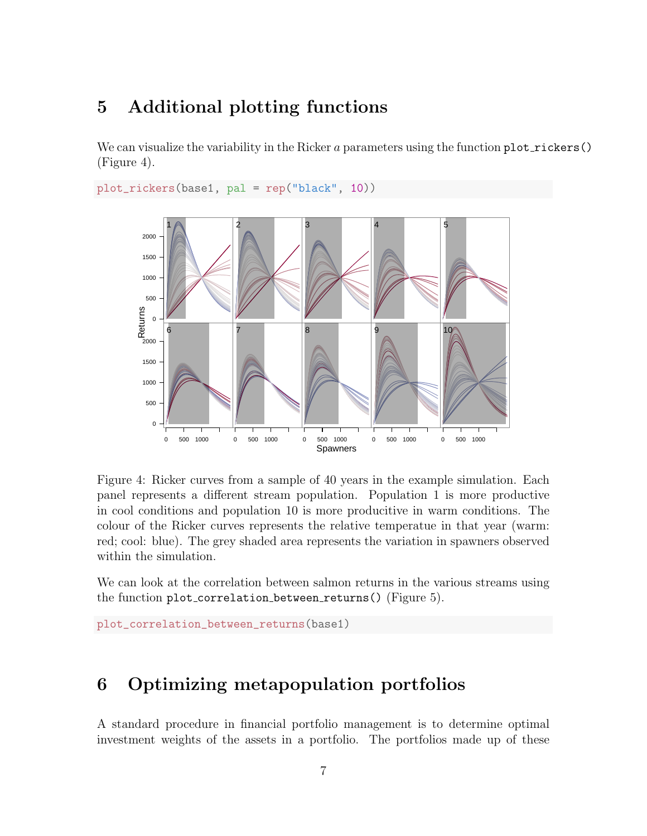### 5 Additional plotting functions

We can visualize the variability in the Ricker  $a$  parameters using the function plot rickers() (Figure 4).

```
plot_rickers(base1, pal = rep("black", 10))
```


Figure 4: Ricker curves from a sample of 40 years in the example simulation. Each panel represents a different stream population. Population 1 is more productive in cool conditions and population 10 is more producitive in warm conditions. The colour of the Ricker curves represents the relative temperatue in that year (warm: red; cool: blue). The grey shaded area represents the variation in spawners observed within the simulation.

We can look at the correlation between salmon returns in the various streams using the function plot correlation between returns() (Figure 5).

```
plot_correlation_between_returns(base1)
```
### 6 Optimizing metapopulation portfolios

A standard procedure in financial portfolio management is to determine optimal investment weights of the assets in a portfolio. The portfolios made up of these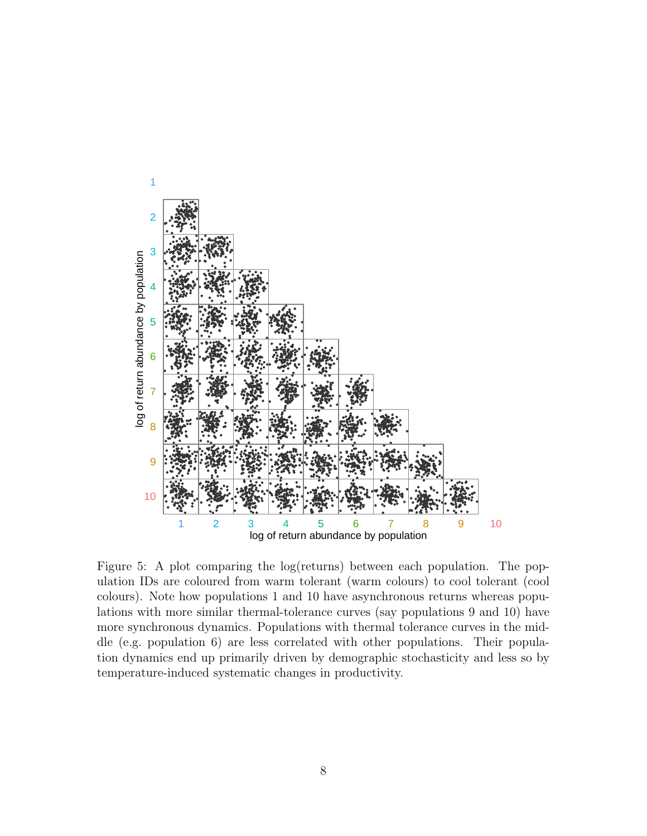

Figure 5: A plot comparing the log(returns) between each population. The population IDs are coloured from warm tolerant (warm colours) to cool tolerant (cool colours). Note how populations 1 and 10 have asynchronous returns whereas populations with more similar thermal-tolerance curves (say populations 9 and 10) have more synchronous dynamics. Populations with thermal tolerance curves in the middle (e.g. population 6) are less correlated with other populations. Their population dynamics end up primarily driven by demographic stochasticity and less so by temperature-induced systematic changes in productivity.